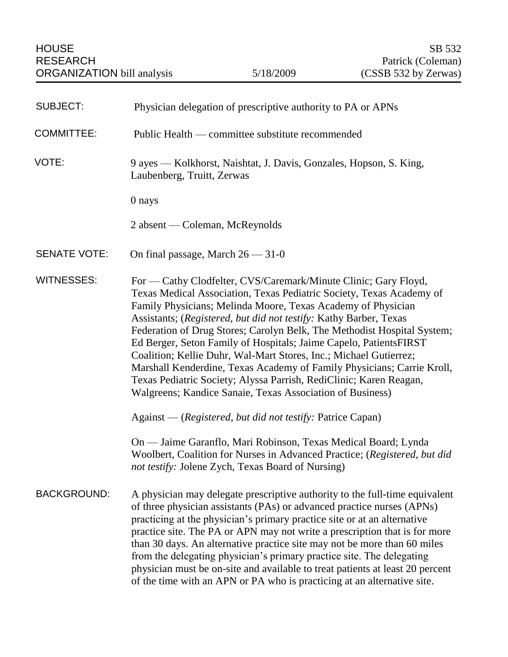| <b>SUBJECT:</b>     | Physician delegation of prescriptive authority to PA or APNs                                                                                                                                                                                                                                                                                                                                                                                                                                                                                                                                                                                                                                                   |
|---------------------|----------------------------------------------------------------------------------------------------------------------------------------------------------------------------------------------------------------------------------------------------------------------------------------------------------------------------------------------------------------------------------------------------------------------------------------------------------------------------------------------------------------------------------------------------------------------------------------------------------------------------------------------------------------------------------------------------------------|
| <b>COMMITTEE:</b>   | Public Health — committee substitute recommended                                                                                                                                                                                                                                                                                                                                                                                                                                                                                                                                                                                                                                                               |
| VOTE:               | 9 ayes — Kolkhorst, Naishtat, J. Davis, Gonzales, Hopson, S. King,<br>Laubenberg, Truitt, Zerwas                                                                                                                                                                                                                                                                                                                                                                                                                                                                                                                                                                                                               |
|                     | 0 nays                                                                                                                                                                                                                                                                                                                                                                                                                                                                                                                                                                                                                                                                                                         |
|                     | 2 absent — Coleman, McReynolds                                                                                                                                                                                                                                                                                                                                                                                                                                                                                                                                                                                                                                                                                 |
| <b>SENATE VOTE:</b> | On final passage, March $26 - 31 - 0$                                                                                                                                                                                                                                                                                                                                                                                                                                                                                                                                                                                                                                                                          |
| <b>WITNESSES:</b>   | For — Cathy Clodfelter, CVS/Caremark/Minute Clinic; Gary Floyd,<br>Texas Medical Association, Texas Pediatric Society, Texas Academy of<br>Family Physicians; Melinda Moore, Texas Academy of Physician<br>Assistants; (Registered, but did not testify: Kathy Barber, Texas<br>Federation of Drug Stores; Carolyn Belk, The Methodist Hospital System;<br>Ed Berger, Seton Family of Hospitals; Jaime Capelo, PatientsFIRST<br>Coalition; Kellie Duhr, Wal-Mart Stores, Inc.; Michael Gutierrez;<br>Marshall Kenderdine, Texas Academy of Family Physicians; Carrie Kroll,<br>Texas Pediatric Society; Alyssa Parrish, RediClinic; Karen Reagan,<br>Walgreens; Kandice Sanaie, Texas Association of Business) |
|                     | Against — (Registered, but did not testify: Patrice Capan)                                                                                                                                                                                                                                                                                                                                                                                                                                                                                                                                                                                                                                                     |
|                     | On — Jaime Garanflo, Mari Robinson, Texas Medical Board; Lynda<br>Woolbert, Coalition for Nurses in Advanced Practice; (Registered, but did<br>not testify: Jolene Zych, Texas Board of Nursing)                                                                                                                                                                                                                                                                                                                                                                                                                                                                                                               |
| <b>BACKGROUND:</b>  | A physician may delegate prescriptive authority to the full-time equivalent<br>of three physician assistants (PAs) or advanced practice nurses (APNs)<br>practicing at the physician's primary practice site or at an alternative<br>practice site. The PA or APN may not write a prescription that is for more<br>than 30 days. An alternative practice site may not be more than 60 miles<br>from the delegating physician's primary practice site. The delegating<br>physician must be on-site and available to treat patients at least 20 percent<br>of the time with an APN or PA who is practicing at an alternative site.                                                                               |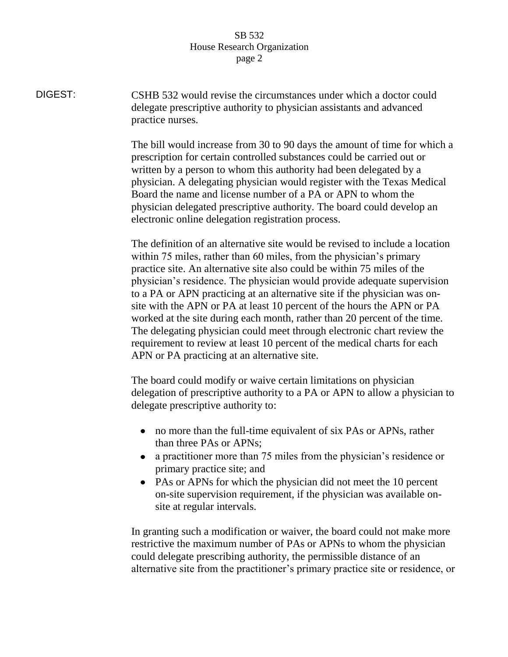DIGEST: CSHB 532 would revise the circumstances under which a doctor could delegate prescriptive authority to physician assistants and advanced practice nurses.

> The bill would increase from 30 to 90 days the amount of time for which a prescription for certain controlled substances could be carried out or written by a person to whom this authority had been delegated by a physician. A delegating physician would register with the Texas Medical Board the name and license number of a PA or APN to whom the physician delegated prescriptive authority. The board could develop an electronic online delegation registration process.

The definition of an alternative site would be revised to include a location within 75 miles, rather than 60 miles, from the physician's primary practice site. An alternative site also could be within 75 miles of the physician's residence. The physician would provide adequate supervision to a PA or APN practicing at an alternative site if the physician was onsite with the APN or PA at least 10 percent of the hours the APN or PA worked at the site during each month, rather than 20 percent of the time. The delegating physician could meet through electronic chart review the requirement to review at least 10 percent of the medical charts for each APN or PA practicing at an alternative site.

The board could modify or waive certain limitations on physician delegation of prescriptive authority to a PA or APN to allow a physician to delegate prescriptive authority to:

- no more than the full-time equivalent of six PAs or APNs, rather than three PAs or APNs;
- a practitioner more than 75 miles from the physician's residence or primary practice site; and
- PAs or APNs for which the physician did not meet the 10 percent on-site supervision requirement, if the physician was available onsite at regular intervals.

In granting such a modification or waiver, the board could not make more restrictive the maximum number of PAs or APNs to whom the physician could delegate prescribing authority, the permissible distance of an alternative site from the practitioner's primary practice site or residence, or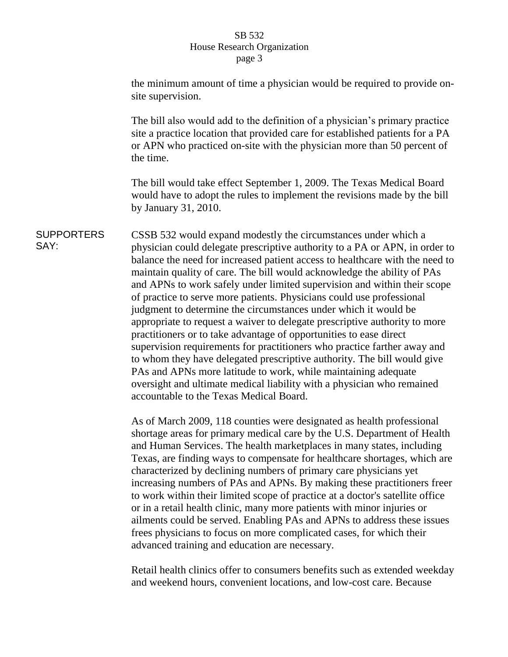the minimum amount of time a physician would be required to provide onsite supervision.

The bill also would add to the definition of a physician's primary practice site a practice location that provided care for established patients for a PA or APN who practiced on-site with the physician more than 50 percent of the time.

The bill would take effect September 1, 2009. The Texas Medical Board would have to adopt the rules to implement the revisions made by the bill by January 31, 2010.

**SUPPORTERS** SAY: CSSB 532 would expand modestly the circumstances under which a physician could delegate prescriptive authority to a PA or APN, in order to balance the need for increased patient access to healthcare with the need to maintain quality of care. The bill would acknowledge the ability of PAs and APNs to work safely under limited supervision and within their scope of practice to serve more patients. Physicians could use professional judgment to determine the circumstances under which it would be appropriate to request a waiver to delegate prescriptive authority to more practitioners or to take advantage of opportunities to ease direct supervision requirements for practitioners who practice farther away and to whom they have delegated prescriptive authority. The bill would give PAs and APNs more latitude to work, while maintaining adequate oversight and ultimate medical liability with a physician who remained accountable to the Texas Medical Board.

> As of March 2009, 118 counties were designated as health professional shortage areas for primary medical care by the U.S. Department of Health and Human Services. The health marketplaces in many states, including Texas, are finding ways to compensate for healthcare shortages, which are characterized by declining numbers of primary care physicians yet increasing numbers of PAs and APNs. By making these practitioners freer to work within their limited scope of practice at a doctor's satellite office or in a retail health clinic, many more patients with minor injuries or ailments could be served. Enabling PAs and APNs to address these issues frees physicians to focus on more complicated cases, for which their advanced training and education are necessary.

> Retail health clinics offer to consumers benefits such as extended weekday and weekend hours, convenient locations, and low-cost care. Because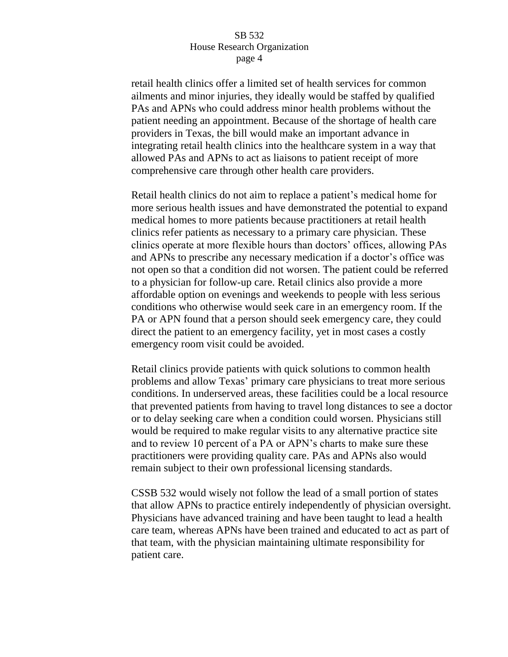retail health clinics offer a limited set of health services for common ailments and minor injuries, they ideally would be staffed by qualified PAs and APNs who could address minor health problems without the patient needing an appointment. Because of the shortage of health care providers in Texas, the bill would make an important advance in integrating retail health clinics into the healthcare system in a way that allowed PAs and APNs to act as liaisons to patient receipt of more comprehensive care through other health care providers.

Retail health clinics do not aim to replace a patient's medical home for more serious health issues and have demonstrated the potential to expand medical homes to more patients because practitioners at retail health clinics refer patients as necessary to a primary care physician. These clinics operate at more flexible hours than doctors' offices, allowing PAs and APNs to prescribe any necessary medication if a doctor's office was not open so that a condition did not worsen. The patient could be referred to a physician for follow-up care. Retail clinics also provide a more affordable option on evenings and weekends to people with less serious conditions who otherwise would seek care in an emergency room. If the PA or APN found that a person should seek emergency care, they could direct the patient to an emergency facility, yet in most cases a costly emergency room visit could be avoided.

Retail clinics provide patients with quick solutions to common health problems and allow Texas' primary care physicians to treat more serious conditions. In underserved areas, these facilities could be a local resource that prevented patients from having to travel long distances to see a doctor or to delay seeking care when a condition could worsen. Physicians still would be required to make regular visits to any alternative practice site and to review 10 percent of a PA or APN's charts to make sure these practitioners were providing quality care. PAs and APNs also would remain subject to their own professional licensing standards.

CSSB 532 would wisely not follow the lead of a small portion of states that allow APNs to practice entirely independently of physician oversight. Physicians have advanced training and have been taught to lead a health care team, whereas APNs have been trained and educated to act as part of that team, with the physician maintaining ultimate responsibility for patient care.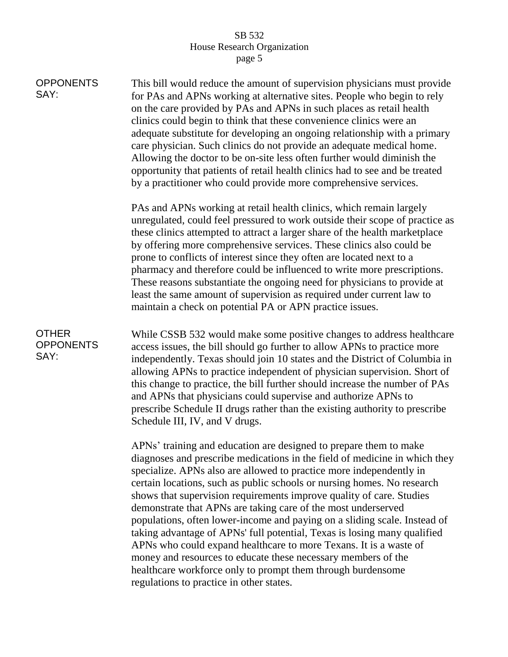| <b>OPPONENTS</b><br>SAY:                 | This bill would reduce the amount of supervision physicians must provide<br>for PAs and APNs working at alternative sites. People who begin to rely<br>on the care provided by PAs and APNs in such places as retail health<br>clinics could begin to think that these convenience clinics were an<br>adequate substitute for developing an ongoing relationship with a primary<br>care physician. Such clinics do not provide an adequate medical home.<br>Allowing the doctor to be on-site less often further would diminish the<br>opportunity that patients of retail health clinics had to see and be treated<br>by a practitioner who could provide more comprehensive services.                                                                                                                                                              |
|------------------------------------------|------------------------------------------------------------------------------------------------------------------------------------------------------------------------------------------------------------------------------------------------------------------------------------------------------------------------------------------------------------------------------------------------------------------------------------------------------------------------------------------------------------------------------------------------------------------------------------------------------------------------------------------------------------------------------------------------------------------------------------------------------------------------------------------------------------------------------------------------------|
|                                          | PAs and APNs working at retail health clinics, which remain largely<br>unregulated, could feel pressured to work outside their scope of practice as<br>these clinics attempted to attract a larger share of the health marketplace<br>by offering more comprehensive services. These clinics also could be<br>prone to conflicts of interest since they often are located next to a<br>pharmacy and therefore could be influenced to write more prescriptions.<br>These reasons substantiate the ongoing need for physicians to provide at<br>least the same amount of supervision as required under current law to<br>maintain a check on potential PA or APN practice issues.                                                                                                                                                                      |
| <b>OTHER</b><br><b>OPPONENTS</b><br>SAY: | While CSSB 532 would make some positive changes to address healthcare<br>access issues, the bill should go further to allow APNs to practice more<br>independently. Texas should join 10 states and the District of Columbia in<br>allowing APNs to practice independent of physician supervision. Short of<br>this change to practice, the bill further should increase the number of PAs<br>and APNs that physicians could supervise and authorize APNs to<br>prescribe Schedule II drugs rather than the existing authority to prescribe<br>Schedule III, IV, and V drugs.                                                                                                                                                                                                                                                                        |
|                                          | APNs' training and education are designed to prepare them to make<br>diagnoses and prescribe medications in the field of medicine in which they<br>specialize. APNs also are allowed to practice more independently in<br>certain locations, such as public schools or nursing homes. No research<br>shows that supervision requirements improve quality of care. Studies<br>demonstrate that APNs are taking care of the most underserved<br>populations, often lower-income and paying on a sliding scale. Instead of<br>taking advantage of APNs' full potential, Texas is losing many qualified<br>APNs who could expand healthcare to more Texans. It is a waste of<br>money and resources to educate these necessary members of the<br>healthcare workforce only to prompt them through burdensome<br>regulations to practice in other states. |